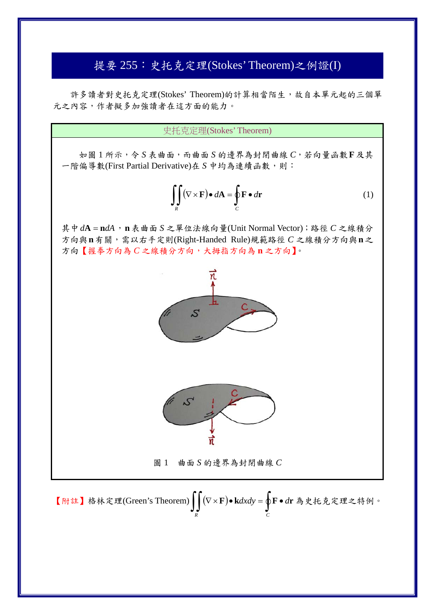## 提要 255:史托克定理(Stokes' Theorem)之例證(I)

 許多讀者對史托克定理(Stokes' Theorem)的計算相當陌生,故自本單元起的三個單 元之內容,作者擬多加強讀者在這方面的能力。

史托克定理(Stokes' Theorem)

如圖 1 所示,令 *S* 表曲面,而曲面 *S* 的邊界為封閉曲線 *C*,若向量函數**F**及其 一階偏導數(First Partial Derivative)在 S 中均為連續函數,則:

$$
\iint\limits_R (\nabla \times \mathbf{F}) \bullet d\mathbf{A} = \oint\limits_C \mathbf{F} \bullet d\mathbf{r}
$$
 (1)

其中*d***A n***dA*,**n**表曲面 *S* 之單位法線向量(Unit Normal Vector);路徑 *C* 之線積分 方向與**n**有關,需以右手定則(Right-Handed Rule)規範路徑 *C* 之線積分方向與**n**之 方向【握拳方向為 *C* 之線積分方向,大拇指方向為 **n** 之方向】。



圖 1 曲面 *S* 的邊界為封閉曲線 *C*

【附註】格林定理(Green's Theorem) **F k***dxdy* **F** *d***r** 為史托克定理之特例。*R C*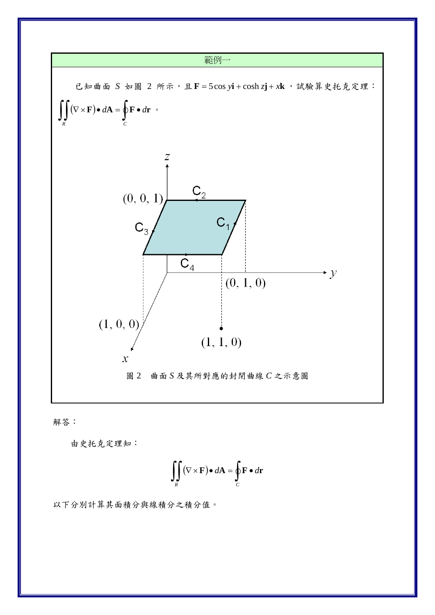

解答:

由史托克定理知:

$$
\iint\limits_R (\nabla \times \mathbf{F}) \bullet d\mathbf{A} = \oint\limits_C \mathbf{F} \bullet d\mathbf{r}
$$

以下分別計算其面積分與線積分之積分值。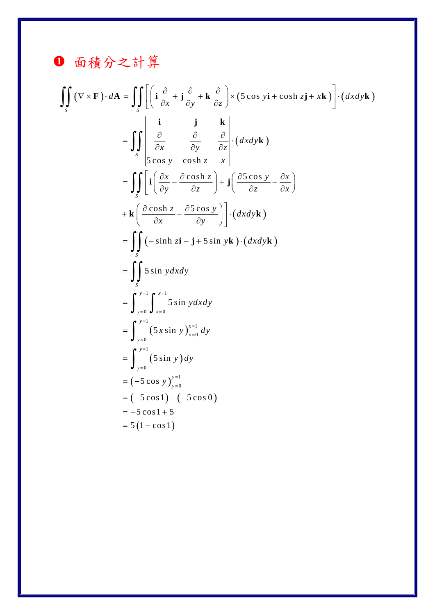## 1 面積分之計算

$$
\iint_{S} (\nabla \times \mathbf{F}) \cdot d\mathbf{A} = \iint_{S} \left[ \left( \mathbf{i} \frac{\partial}{\partial x} + \mathbf{j} \frac{\partial}{\partial y} + \mathbf{k} \frac{\partial}{\partial z} \right) \times (\mathbf{5} \cos y \mathbf{i} + \cosh z \mathbf{j} + x \mathbf{k}) \right] \cdot (dx dy \mathbf{k})
$$
\n
$$
= \iint_{S} \begin{vmatrix} \mathbf{i} & \mathbf{j} & \mathbf{k} \\ \frac{\partial}{\partial x} & \frac{\partial}{\partial y} & \frac{\partial}{\partial z} \\ \mathbf{5} \cos y & \cosh z & x \end{vmatrix} \cdot (dx dy \mathbf{k})
$$
\n
$$
= \iint_{S} \left[ \mathbf{i} \left( \frac{\partial x}{\partial y} - \frac{\partial \cosh z}{\partial z} \right) + \mathbf{j} \left( \frac{\partial \mathbf{5} \cos y}{\partial z} - \frac{\partial x}{\partial x} \right) \right]
$$
\n
$$
+ \mathbf{k} \left( \frac{\partial \cosh z}{\partial x} - \frac{\partial \mathbf{5} \cos y}{\partial y} \right) \cdot (dx dy \mathbf{k})
$$
\n
$$
= \iint_{S} (-\sinh z \mathbf{i} - \mathbf{j} + \mathbf{5} \sin y \mathbf{k}) \cdot (dx dy \mathbf{k})
$$
\n
$$
= \iint_{S} \mathbf{5} \sin y dx dy
$$
\n
$$
= \int_{y=0}^{y=1} \int_{x=0}^{x=1} \sin y dx dy
$$
\n
$$
= \int_{y=0}^{y=1} (\mathbf{5} x \sin y) \frac{x-1}{x=0} dy
$$
\n
$$
= (-5 \cos y) \frac{y-1}{y=0}
$$
\n
$$
= (-5 \cos y) \frac{y-1}{y=0}
$$
\n
$$
= (-5 \cos y) \frac{y-1}{y=0}
$$
\n
$$
= 5 (1 - \cos 1)
$$